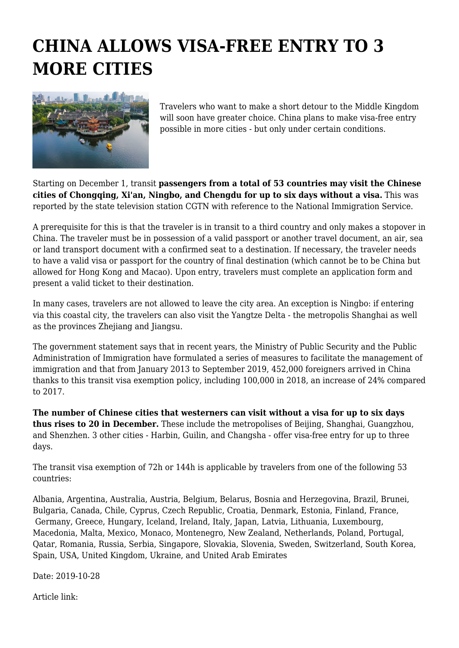## **CHINA ALLOWS VISA-FREE ENTRY TO 3 MORE CITIES**



Travelers who want to make a short detour to the Middle Kingdom will soon have greater choice. China plans to make visa-free entry possible in more cities - but only under certain conditions.

Starting on December 1, transit **passengers from a total of 53 countries may visit the Chinese cities of Chongqing, Xi'an, Ningbo, and Chengdu for up to six days without a visa.** This was reported by the state television station CGTN with reference to the National Immigration Service.

A prerequisite for this is that the traveler is in transit to a third country and only makes a stopover in China. The traveler must be in possession of a valid passport or another travel document, an air, sea or land transport document with a confirmed seat to a destination. If necessary, the traveler needs to have a valid visa or passport for the country of final destination (which cannot be to be China but allowed for Hong Kong and Macao). Upon entry, travelers must complete an application form and present a valid ticket to their destination.

In many cases, travelers are not allowed to leave the city area. An exception is Ningbo: if entering via this coastal city, the travelers can also visit the Yangtze Delta - the metropolis Shanghai as well as the provinces Zhejiang and Jiangsu.

The government statement says that in recent years, the Ministry of Public Security and the Public Administration of Immigration have formulated a series of measures to facilitate the management of immigration and that from January 2013 to September 2019, 452,000 foreigners arrived in China thanks to this transit visa exemption policy, including 100,000 in 2018, an increase of 24% compared to 2017.

**The number of Chinese cities that westerners can visit without a visa for up to six days thus rises to 20 in December.** These include the metropolises of Beijing, Shanghai, Guangzhou, and Shenzhen. 3 other cities - Harbin, Guilin, and Changsha - offer visa-free entry for up to three days.

The transit visa exemption of 72h or 144h is applicable by travelers from one of the following 53 countries:

Albania, Argentina, Australia, Austria, Belgium, Belarus, Bosnia and Herzegovina, Brazil, Brunei, Bulgaria, Canada, Chile, Cyprus, Czech Republic, Croatia, Denmark, Estonia, Finland, France, Germany, Greece, Hungary, Iceland, Ireland, Italy, Japan, Latvia, Lithuania, Luxembourg, Macedonia, Malta, Mexico, Monaco, Montenegro, New Zealand, Netherlands, Poland, Portugal, Qatar, Romania, Russia, Serbia, Singapore, Slovakia, Slovenia, Sweden, Switzerland, South Korea, Spain, USA, United Kingdom, Ukraine, and United Arab Emirates

Date: 2019-10-28

Article link: